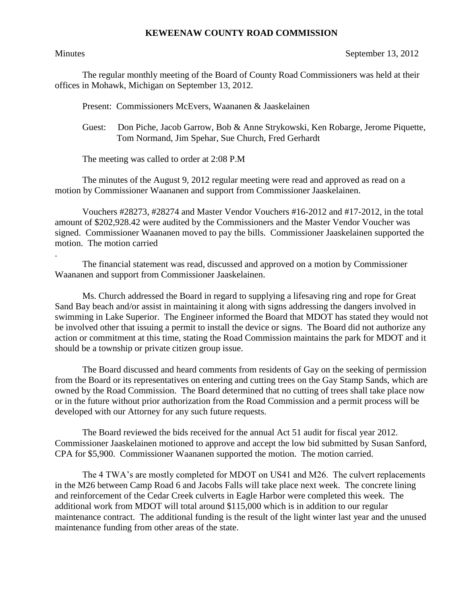## **KEWEENAW COUNTY ROAD COMMISSION**

.

Minutes September 13, 2012

The regular monthly meeting of the Board of County Road Commissioners was held at their offices in Mohawk, Michigan on September 13, 2012.

Present: Commissioners McEvers, Waananen & Jaaskelainen

Guest: Don Piche, Jacob Garrow, Bob & Anne Strykowski, Ken Robarge, Jerome Piquette, Tom Normand, Jim Spehar, Sue Church, Fred Gerhardt

The meeting was called to order at 2:08 P.M

The minutes of the August 9, 2012 regular meeting were read and approved as read on a motion by Commissioner Waananen and support from Commissioner Jaaskelainen.

Vouchers #28273, #28274 and Master Vendor Vouchers #16-2012 and #17-2012, in the total amount of \$202,928.42 were audited by the Commissioners and the Master Vendor Voucher was signed. Commissioner Waananen moved to pay the bills. Commissioner Jaaskelainen supported the motion. The motion carried

The financial statement was read, discussed and approved on a motion by Commissioner Waananen and support from Commissioner Jaaskelainen.

Ms. Church addressed the Board in regard to supplying a lifesaving ring and rope for Great Sand Bay beach and/or assist in maintaining it along with signs addressing the dangers involved in swimming in Lake Superior. The Engineer informed the Board that MDOT has stated they would not be involved other that issuing a permit to install the device or signs. The Board did not authorize any action or commitment at this time, stating the Road Commission maintains the park for MDOT and it should be a township or private citizen group issue.

The Board discussed and heard comments from residents of Gay on the seeking of permission from the Board or its representatives on entering and cutting trees on the Gay Stamp Sands, which are owned by the Road Commission. The Board determined that no cutting of trees shall take place now or in the future without prior authorization from the Road Commission and a permit process will be developed with our Attorney for any such future requests.

The Board reviewed the bids received for the annual Act 51 audit for fiscal year 2012. Commissioner Jaaskelainen motioned to approve and accept the low bid submitted by Susan Sanford, CPA for \$5,900. Commissioner Waananen supported the motion. The motion carried.

The 4 TWA's are mostly completed for MDOT on US41 and M26. The culvert replacements in the M26 between Camp Road 6 and Jacobs Falls will take place next week. The concrete lining and reinforcement of the Cedar Creek culverts in Eagle Harbor were completed this week. The additional work from MDOT will total around \$115,000 which is in addition to our regular maintenance contract. The additional funding is the result of the light winter last year and the unused maintenance funding from other areas of the state.